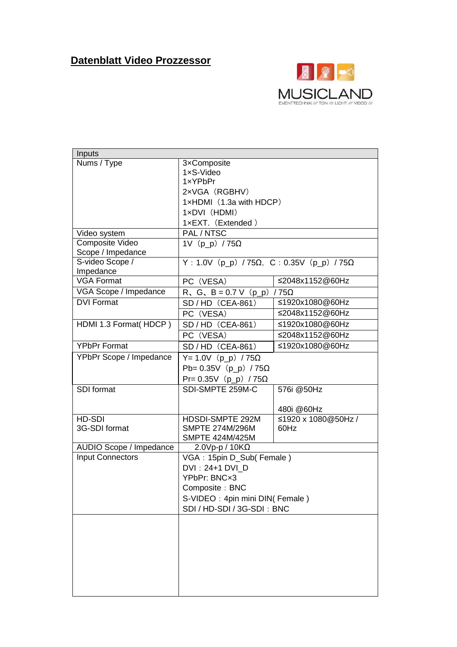## **Datenblatt Video Prozzessor**



| Inputs                  |                                              |                     |  |
|-------------------------|----------------------------------------------|---------------------|--|
| Nums / Type             | 3xComposite                                  |                     |  |
|                         | 1xS-Video                                    |                     |  |
|                         | 1xYPbPr                                      |                     |  |
|                         | 2xVGA (RGBHV)                                |                     |  |
|                         | 1xHDMI (1.3a with HDCP)                      |                     |  |
|                         | 1xDVI (HDMI)                                 |                     |  |
|                         | 1xEXT. (Extended)                            |                     |  |
| Video system            | PAL/NTSC                                     |                     |  |
| Composite Video         | 1V $(p_p)$ /75 $\Omega$                      |                     |  |
| Scope / Impedance       |                                              |                     |  |
| S-video Scope /         | $Y : 1.0V$ (p_p) / 75Ω, C: 0.35V (p_p) / 75Ω |                     |  |
| Impedance               |                                              |                     |  |
| <b>VGA Format</b>       | PC (VESA)                                    | ≤2048x1152@60Hz     |  |
| VGA Scope / Impedance   | R, G, B = 0.7 V (p_p) / 75 $\Omega$          |                     |  |
| <b>DVI Format</b>       | SD / HD (CEA-861)                            | ≤1920x1080@60Hz     |  |
|                         | PC (VESA)                                    | ≤2048x1152@60Hz     |  |
| HDMI 1.3 Format(HDCP)   | SD / HD (CEA-861)                            | ≤1920x1080@60Hz     |  |
|                         | PC (VESA)                                    | ≤2048x1152@60Hz     |  |
| YPbPr Format            | SD / HD (CEA-861)                            | ≤1920x1080@60Hz     |  |
| YPbPr Scope / Impedance | $Y = 1.0V$ (p_p) /75Ω                        |                     |  |
|                         | Pb= 0.35V (p_p) / 75Ω                        |                     |  |
|                         | Pr= 0.35V (p_p) / 75Ω                        |                     |  |
| SDI format              | SDI-SMPTE 259M-C                             | 576i @50Hz          |  |
|                         |                                              |                     |  |
|                         |                                              | 480i @60Hz          |  |
| HD-SDI                  | HDSDI-SMPTE 292M                             | ≤1920 x 1080@50Hz / |  |
| 3G-SDI format           | <b>SMPTE 274M/296M</b>                       | 60Hz                |  |
|                         | <b>SMPTE 424M/425M</b>                       |                     |  |
| AUDIO Scope / Impedance | $2.0Vp-p / 10K\Omega$                        |                     |  |
| <b>Input Connectors</b> | VGA: 15pin D_Sub(Female)                     |                     |  |
|                         | DVI: 24+1 DVI D                              |                     |  |
|                         | YPbPr: BNCx3                                 |                     |  |
|                         | Composite: BNC                               |                     |  |
|                         | S-VIDEO: 4pin mini DIN(Female)               |                     |  |
|                         | SDI / HD-SDI / 3G-SDI: BNC                   |                     |  |
|                         |                                              |                     |  |
|                         |                                              |                     |  |
|                         |                                              |                     |  |
|                         |                                              |                     |  |
|                         |                                              |                     |  |
|                         |                                              |                     |  |
|                         |                                              |                     |  |
|                         |                                              |                     |  |